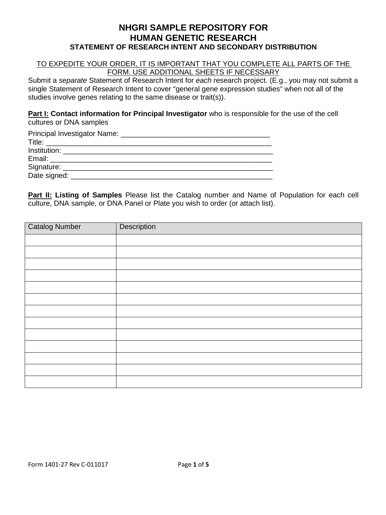# **NHGRI SAMPLE REPOSITORY FOR HUMAN GENETIC RESEARCH STATEMENT OF RESEARCH INTENT AND SECONDARY DISTRIBUTION**

#### TO EXPEDITE YOUR ORDER, IT IS IMPORTANT THAT YOU COMPLETE ALL PARTS OF THE FORM. USE ADDITIONAL SHEETS IF NECESSARY

Submit a *separate* Statement of Research Intent for *each* research project. (E.g., you may not submit a single Statement of Research Intent to cover "general gene expression studies" when not all of the studies involve genes relating to the same disease or trait(s)).

**Part I: Contact information for Principal Investigator** who is responsible for the use of the cell cultures or DNA samples

| Principal Investigator Name: 2008. [19] Principal Investigator Name: |  |
|----------------------------------------------------------------------|--|
|                                                                      |  |
|                                                                      |  |
|                                                                      |  |
|                                                                      |  |
|                                                                      |  |

**Part II: Listing of Samples** Please list the Catalog number and Name of Population for each cell culture, DNA sample, or DNA Panel or Plate you wish to order (or attach list).

| <b>Catalog Number</b> | Description |
|-----------------------|-------------|
|                       |             |
|                       |             |
|                       |             |
|                       |             |
|                       |             |
|                       |             |
|                       |             |
|                       |             |
|                       |             |
|                       |             |
|                       |             |
|                       |             |
|                       |             |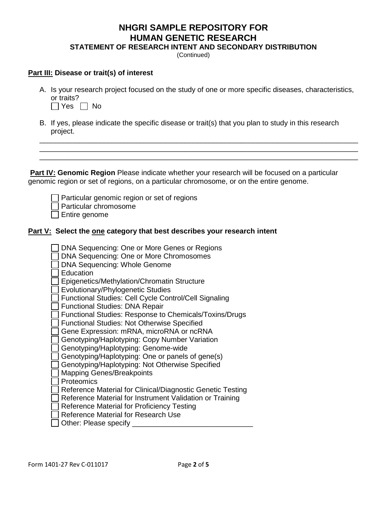# **NHGRI SAMPLE REPOSITORY FOR HUMAN GENETIC RESEARCH**

**STATEMENT OF RESEARCH INTENT AND SECONDARY DISTRIBUTION**

(Continued)

#### **Part III: Disease or trait(s) of interest**

A. Is your research project focused on the study of one or more specific diseases, characteristics, or traits?

\_\_\_\_\_\_\_\_\_\_\_\_\_\_\_\_\_\_\_\_\_\_\_\_\_\_\_\_\_\_\_\_\_\_\_\_\_\_\_\_\_\_\_\_\_\_\_\_\_\_\_\_\_\_\_\_\_\_\_\_\_\_\_\_\_\_\_\_\_\_\_\_\_\_\_\_\_\_\_ \_\_\_\_\_\_\_\_\_\_\_\_\_\_\_\_\_\_\_\_\_\_\_\_\_\_\_\_\_\_\_\_\_\_\_\_\_\_\_\_\_\_\_\_\_\_\_\_\_\_\_\_\_\_\_\_\_\_\_\_\_\_\_\_\_\_\_\_\_\_\_\_\_\_\_\_\_\_\_ \_\_\_\_\_\_\_\_\_\_\_\_\_\_\_\_\_\_\_\_\_\_\_\_\_\_\_\_\_\_\_\_\_\_\_\_\_\_\_\_\_\_\_\_\_\_\_\_\_\_\_\_\_\_\_\_\_\_\_\_\_\_\_\_\_\_\_\_\_\_\_\_\_\_\_\_\_\_\_



B. If yes, please indicate the specific disease or trait(s) that you plan to study in this research project.

**Part IV: Genomic Region** Please indicate whether your research will be focused on a particular genomic region or set of regions, on a particular chromosome, or on the entire genome.

Particular genomic region or set of regions

Particular chromosome

 $\Box$  Entire genome

### **Part V: Select the one category that best describes your research intent**

DNA Sequencing: One or More Genes or Regions DNA Sequencing: One or More Chromosomes DNA Sequencing: Whole Genome **Education** Epigenetics/Methylation/Chromatin Structure **Evolutionary/Phylogenetic Studies** Functional Studies: Cell Cycle Control/Cell Signaling Functional Studies: DNA Repair Functional Studies: Response to Chemicals/Toxins/Drugs Functional Studies: Not Otherwise Specified Gene Expression: mRNA, microRNA or ncRNA Genotyping/Haplotyping: Copy Number Variation Genotyping/Haplotyping: Genome-wide Genotyping/Haplotyping: One or panels of gene(s) Genotyping/Haplotyping: Not Otherwise Specified Mapping Genes/Breakpoints Proteomics Reference Material for Clinical/Diagnostic Genetic Testing Reference Material for Instrument Validation or Training Reference Material for Proficiency Testing  $\Box$  Reference Material for Research Use  $\Box$  Other: Please specify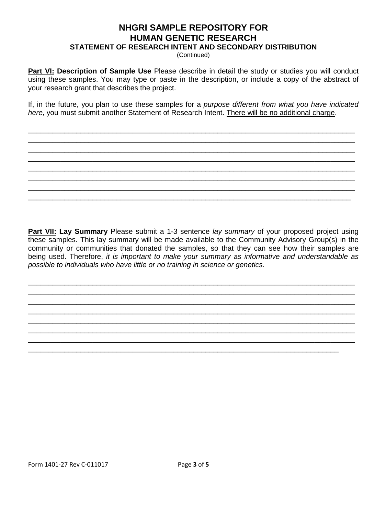# **NHGRI SAMPLE REPOSITORY FOR HUMAN GENETIC RESEARCH**

**STATEMENT OF RESEARCH INTENT AND SECONDARY DISTRIBUTION**

(Continued)

**Part VI: Description of Sample Use** Please describe in detail the study or studies you will conduct using these samples. You may type or paste in the description, or include a copy of the abstract of your research grant that describes the project.

If, in the future, you plan to use these samples for a *purpose different from what you have indicated here*, you must submit another Statement of Research Intent. There will be no additional charge.

\_\_\_\_\_\_\_\_\_\_\_\_\_\_\_\_\_\_\_\_\_\_\_\_\_\_\_\_\_\_\_\_\_\_\_\_\_\_\_\_\_\_\_\_\_\_\_\_\_\_\_\_\_\_\_\_\_\_\_\_\_\_\_\_\_\_\_\_\_\_\_\_\_\_\_\_\_\_\_\_\_ \_\_\_\_\_\_\_\_\_\_\_\_\_\_\_\_\_\_\_\_\_\_\_\_\_\_\_\_\_\_\_\_\_\_\_\_\_\_\_\_\_\_\_\_\_\_\_\_\_\_\_\_\_\_\_\_\_\_\_\_\_\_\_\_\_\_\_\_\_\_\_\_\_\_\_\_\_\_\_\_\_ \_\_\_\_\_\_\_\_\_\_\_\_\_\_\_\_\_\_\_\_\_\_\_\_\_\_\_\_\_\_\_\_\_\_\_\_\_\_\_\_\_\_\_\_\_\_\_\_\_\_\_\_\_\_\_\_\_\_\_\_\_\_\_\_\_\_\_\_\_\_\_\_\_\_\_\_\_\_\_\_\_ \_\_\_\_\_\_\_\_\_\_\_\_\_\_\_\_\_\_\_\_\_\_\_\_\_\_\_\_\_\_\_\_\_\_\_\_\_\_\_\_\_\_\_\_\_\_\_\_\_\_\_\_\_\_\_\_\_\_\_\_\_\_\_\_\_\_\_\_\_\_\_\_\_\_\_\_\_\_\_\_\_ \_\_\_\_\_\_\_\_\_\_\_\_\_\_\_\_\_\_\_\_\_\_\_\_\_\_\_\_\_\_\_\_\_\_\_\_\_\_\_\_\_\_\_\_\_\_\_\_\_\_\_\_\_\_\_\_\_\_\_\_\_\_\_\_\_\_\_\_\_\_\_\_\_\_\_\_\_\_\_\_\_ \_\_\_\_\_\_\_\_\_\_\_\_\_\_\_\_\_\_\_\_\_\_\_\_\_\_\_\_\_\_\_\_\_\_\_\_\_\_\_\_\_\_\_\_\_\_\_\_\_\_\_\_\_\_\_\_\_\_\_\_\_\_\_\_\_\_\_\_\_\_\_\_\_\_\_\_\_\_\_\_\_ \_\_\_\_\_\_\_\_\_\_\_\_\_\_\_\_\_\_\_\_\_\_\_\_\_\_\_\_\_\_\_\_\_\_\_\_\_\_\_\_\_\_\_\_\_\_\_\_\_\_\_\_\_\_\_\_\_\_\_\_\_\_\_\_\_\_\_\_\_\_\_\_\_\_\_\_\_\_\_\_\_ \_\_\_\_\_\_\_\_\_\_\_\_\_\_\_\_\_\_\_\_\_\_\_\_\_\_\_\_\_\_\_\_\_\_\_\_\_\_\_\_\_\_\_\_\_\_\_\_\_\_\_\_\_\_\_\_\_\_\_\_\_\_\_\_\_\_\_\_\_\_\_\_\_\_\_\_\_\_\_\_

**Part VII: Lay Summary** Please submit a 1-3 sentence *lay summary* of your proposed project using these samples. This lay summary will be made available to the Community Advisory Group(s) in the community or communities that donated the samples, so that they can see how their samples are being used. Therefore, *it is important to make your summary as informative and understandable as possible to individuals who have little or no training in science or genetics.*

\_\_\_\_\_\_\_\_\_\_\_\_\_\_\_\_\_\_\_\_\_\_\_\_\_\_\_\_\_\_\_\_\_\_\_\_\_\_\_\_\_\_\_\_\_\_\_\_\_\_\_\_\_\_\_\_\_\_\_\_\_\_\_\_\_\_\_\_\_\_\_\_\_\_\_\_\_\_\_\_\_ \_\_\_\_\_\_\_\_\_\_\_\_\_\_\_\_\_\_\_\_\_\_\_\_\_\_\_\_\_\_\_\_\_\_\_\_\_\_\_\_\_\_\_\_\_\_\_\_\_\_\_\_\_\_\_\_\_\_\_\_\_\_\_\_\_\_\_\_\_\_\_\_\_\_\_\_\_\_\_\_\_ \_\_\_\_\_\_\_\_\_\_\_\_\_\_\_\_\_\_\_\_\_\_\_\_\_\_\_\_\_\_\_\_\_\_\_\_\_\_\_\_\_\_\_\_\_\_\_\_\_\_\_\_\_\_\_\_\_\_\_\_\_\_\_\_\_\_\_\_\_\_\_\_\_\_\_\_\_\_\_\_\_ \_\_\_\_\_\_\_\_\_\_\_\_\_\_\_\_\_\_\_\_\_\_\_\_\_\_\_\_\_\_\_\_\_\_\_\_\_\_\_\_\_\_\_\_\_\_\_\_\_\_\_\_\_\_\_\_\_\_\_\_\_\_\_\_\_\_\_\_\_\_\_\_\_\_\_\_\_\_\_\_\_ \_\_\_\_\_\_\_\_\_\_\_\_\_\_\_\_\_\_\_\_\_\_\_\_\_\_\_\_\_\_\_\_\_\_\_\_\_\_\_\_\_\_\_\_\_\_\_\_\_\_\_\_\_\_\_\_\_\_\_\_\_\_\_\_\_\_\_\_\_\_\_\_\_\_\_\_\_\_\_\_\_ \_\_\_\_\_\_\_\_\_\_\_\_\_\_\_\_\_\_\_\_\_\_\_\_\_\_\_\_\_\_\_\_\_\_\_\_\_\_\_\_\_\_\_\_\_\_\_\_\_\_\_\_\_\_\_\_\_\_\_\_\_\_\_\_\_\_\_\_\_\_\_\_\_\_\_\_\_\_\_\_\_ \_\_\_\_\_\_\_\_\_\_\_\_\_\_\_\_\_\_\_\_\_\_\_\_\_\_\_\_\_\_\_\_\_\_\_\_\_\_\_\_\_\_\_\_\_\_\_\_\_\_\_\_\_\_\_\_\_\_\_\_\_\_\_\_\_\_\_\_\_\_\_\_\_\_\_\_\_\_\_\_\_ \_\_\_\_\_\_\_\_\_\_\_\_\_\_\_\_\_\_\_\_\_\_\_\_\_\_\_\_\_\_\_\_\_\_\_\_\_\_\_\_\_\_\_\_\_\_\_\_\_\_\_\_\_\_\_\_\_\_\_\_\_\_\_\_\_\_\_\_\_\_\_\_\_\_\_\_\_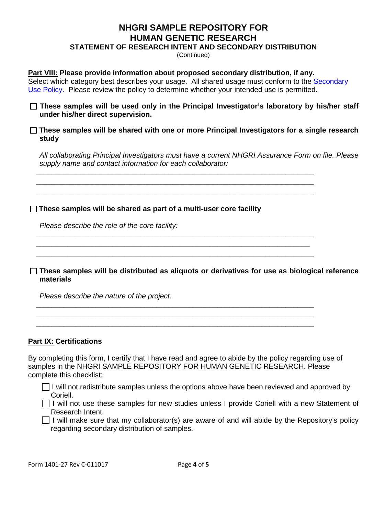# **NHGRI SAMPLE REPOSITORY FOR HUMAN GENETIC RESEARCH**

**STATEMENT OF RESEARCH INTENT AND SECONDARY DISTRIBUTION**

(Continued)

#### **Part VIII: Please provide information about proposed secondary distribution, if any.**

 *\_\_\_\_\_\_\_\_\_\_\_\_\_\_\_\_\_\_\_\_\_\_\_\_\_\_\_\_\_\_\_\_\_\_\_\_\_\_\_\_\_\_\_\_\_\_\_\_\_\_\_\_\_\_\_\_\_\_\_\_\_\_\_\_\_\_\_\_\_ \_\_\_\_\_\_\_\_\_\_\_\_\_\_\_\_\_\_\_\_\_\_\_\_\_\_\_\_\_\_\_\_\_\_\_\_\_\_\_\_\_\_\_\_\_\_\_\_\_\_\_\_\_\_\_\_\_\_\_\_\_\_\_\_\_\_\_\_\_ \_\_\_\_\_\_\_\_\_\_\_\_\_\_\_\_\_\_\_\_\_\_\_\_\_\_\_\_\_\_\_\_\_\_\_\_\_\_\_\_\_\_\_\_\_\_\_\_\_\_\_\_\_\_\_\_\_\_\_\_\_\_\_\_\_\_\_\_\_* 

 *\_\_\_\_\_\_\_\_\_\_\_\_\_\_\_\_\_\_\_\_\_\_\_\_\_\_\_\_\_\_\_\_\_\_\_\_\_\_\_\_\_\_\_\_\_\_\_\_\_\_\_\_\_\_\_\_\_\_\_\_\_\_\_\_\_\_\_\_\_ \_\_\_\_\_\_\_\_\_\_\_\_\_\_\_\_\_\_\_\_\_\_\_\_\_\_\_\_\_\_\_\_\_\_\_\_\_\_\_\_\_\_\_\_\_\_\_\_\_\_\_\_\_\_\_\_\_\_\_\_\_\_\_\_\_\_\_\_ \_\_\_\_\_\_\_\_\_\_\_\_\_\_\_\_\_\_\_\_\_\_\_\_\_\_\_\_\_\_\_\_\_\_\_\_\_\_\_\_\_\_\_\_\_\_\_\_\_\_\_\_\_\_\_\_\_\_\_\_\_\_\_\_\_\_\_\_\_* 

 *\_\_\_\_\_\_\_\_\_\_\_\_\_\_\_\_\_\_\_\_\_\_\_\_\_\_\_\_\_\_\_\_\_\_\_\_\_\_\_\_\_\_\_\_\_\_\_\_\_\_\_\_\_\_\_\_\_\_\_\_\_\_\_\_\_\_\_\_\_ \_\_\_\_\_\_\_\_\_\_\_\_\_\_\_\_\_\_\_\_\_\_\_\_\_\_\_\_\_\_\_\_\_\_\_\_\_\_\_\_\_\_\_\_\_\_\_\_\_\_\_\_\_\_\_\_\_\_\_\_\_\_\_\_\_\_\_\_\_* 

Select which category best describes your usage. All shared usage must conform to the Secondary Use Policy. Please review the policy to determine whether your intended use is permitted.

**These samples will be used only in the Principal Investigator's laboratory by his/her staff under his/her direct supervision.** 

#### **These samples will be shared with one or more Principal Investigators for a single research study**

*All collaborating Principal Investigators must have a current NHGRI Assurance Form on file. Please supply name and contact information for each collaborator:* 

#### **These samples will be shared as part of a multi-user core facility**

*Please describe the role of the core facility:* 

**These samples will be distributed as aliquots or derivatives for use as biological reference materials** 

 *\_\_\_\_\_\_\_\_\_\_\_\_\_\_\_\_\_\_\_\_\_\_\_\_\_\_\_\_\_\_\_\_\_\_\_\_\_\_\_\_\_\_\_\_\_\_\_\_\_\_\_\_\_\_\_\_\_\_\_\_\_\_\_\_\_\_\_\_\_* 

*Please describe the nature of the project:* 

#### **Part IX: Certifications**

By completing this form, I certify that I have read and agree to abide by the policy regarding use of samples in the NHGRI SAMPLE REPOSITORY FOR HUMAN GENETIC RESEARCH. Please complete this checklist:

 $\Box$  I will not redistribute samples unless the options above have been reviewed and approved by Coriell.

 $\Box$  I will not use these samples for new studies unless I provide Coriell with a new Statement of Research Intent.

 $\Box$  I will make sure that my collaborator(s) are aware of and will abide by the Repository's policy regarding secondary distribution of samples.